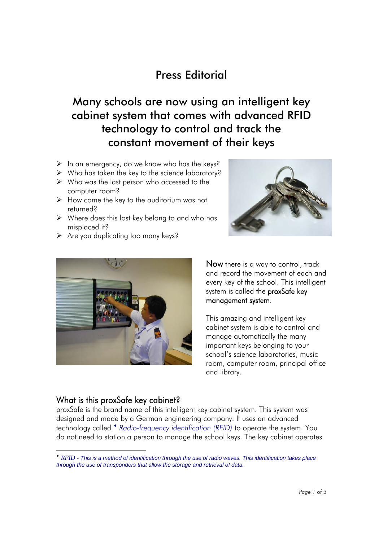## Press Editorial

Many schools are now using an intelligent key cabinet system that comes with advanced RFID technology to control and track the constant movement of their keys

- $\triangleright$  In an emergency, do we know who has the keys?
- $\triangleright$  Who has taken the key to the science laboratory?
- $\triangleright$  Who was the last person who accessed to the computer room?
- $\triangleright$  How come the key to the auditorium was not returned?
- $\triangleright$  Where does this lost key belong to and who has misplaced it?
- $\triangleright$  Are you duplicating too many keys?





Now there is a way to control, track and record the movement of each and every key of the school. This intelligent system is called the proxSafe key management system.

This amazing and intelligent key cabinet system is able to control and manage automatically the many important keys belonging to your school's science laboratories, music room, computer room, principal office and library.

## What is this proxSafe key cabinet?

 $\overline{a}$ 

proxSafe is the brand name of this intelligent key cabinet system. This system was designed and made by a German engineering company. It uses an advanced technology called **\*** Radio-frequency identification (RFID) to operate the system. You do not need to station a person to manage the school keys. The key cabinet operates

*RFID - This is a method of identification through the use of radio waves. This identification takes place through the use of transponders that allow the storage and retrieval of data.*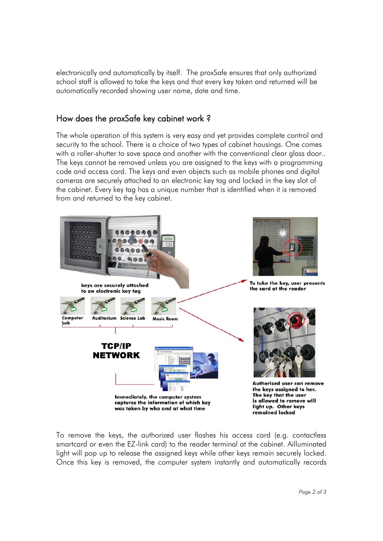electronically and automatically by itself. The proxSafe ensures that only authorized school staff is allowed to take the keys and that every key taken and returned will be automatically recorded showing user name, date and time.

## How does the proxSafe key cabinet work ?

The whole operation of this system is very easy and yet provides complete control and security to the school. There is a choice of two types of cabinet housings. One comes with a roller-shutter to save space and another with the conventional clear glass door.. The keys cannot be removed unless you are assigned to the keys with a programming code and access card. The keys and even objects such as mobile phones and digital cameras are securely attached to an electronic key tag and locked in the key slot of the cabinet. Every key tag has a unique number that is identified when it is removed from and returned to the key cabinet.



To remove the keys, the authorized user flashes his access card (e.g. contactless smartcard or even the EZ-link card) to the reader terminal at the cabinet. Ailluminated light will pop up to release the assigned keys while other keys remain securely locked. Once this key is removed, the computer system instantly and automatically records